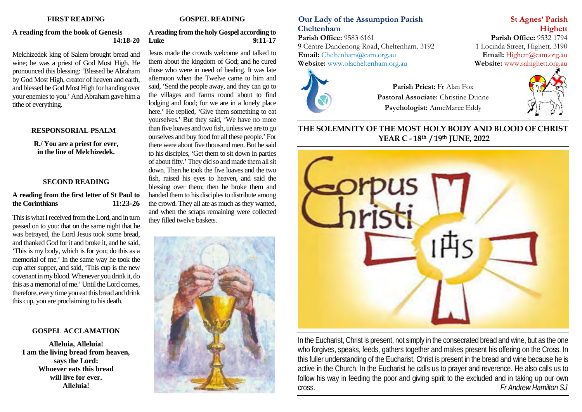## **FIRST READING**

## **A reading from the book of Genesis 14:18-20**

Melchizedek king of Salem brought bread and wine; he was a priest of God Most High. He pronounced this blessing: 'Blessed be Abraham by God Most High, creator of heaven and earth, and blessed be God Most High for handing over your enemies to you.' And Abraham gave him a tithe of everything.

## **RESPONSORIAL PSALM**

**R./ You are a priest for ever, in the line of Melchizedek.** 

## **SECOND READING**

## **A reading from the first letter of St Paul to the Corinthians 11:23-26**

This is what I received from the Lord, and in turn passed on to you: that on the same night that he was betrayed, the Lord Jesus took some bread, and thanked God for it and broke it, and he said, 'This is my body, which is for you; do this as a memorial of me.' In the same way he took the cup after supper, and said, 'This cup is the new covenant in my blood. Whenever you drink it, do this as a memorial of me.' Until the Lord comes therefore, every time you eat this bread and drink this cup, you are proclaiming to his death.

## **GOSPEL ACCLAMATION**

**Alleluia, Alleluia! I am the living bread from heaven, says the Lord: Whoever eats this bread will live for ever. Alleluia!**

## **GOSPEL READING**

## **A reading from the holy Gospel according to Luke 9:11-17**

Jesus made the crowds welcome and talked to them about the kingdom of God; and he cured those who were in need of healing. It was late afternoon when the Twelve came to him and said, 'Send the people away, and they can go to the villages and farms round about to find lodging and food; for we are in a lonely place here.' He replied, 'Give them something to eat yourselves.' But they said, 'We have no more than five loaves and two fish, unless we are to go ourselves and buy food for all these people.' For there were about five thousand men. But he said to his disciples, 'Get them to sit down in parties of about fifty.' They did so and made them all sit down. Then he took the five loaves and the two fish, raised his eyes to heaven, and said the blessing over them; then he broke them and handed them to his disciples to distribute among the crowd. They all ate as much as they wanted, and when the scraps remaining were collected they filled twelve baskets.



# **Our Lady of the Assumption Parish St Agnes' Parish Cheltenham Highett**

**Parish Office:** 9583 6161<br>
9 Centre Dandenong Road, Cheltenham. 3192<br>
1 Locinda Street, Highett. 3190 9 Centre Dandenong Road, Cheltenham. 3192 **Email:** [Cheltenham@cam.org.au](mailto:Cheltenham@cam.org.au) **Email:** [Highett@cam.org.au](mailto:Highett@cam.org.au) **Website:** www.olacheltenham.org.au **Website:** www.sahighett.org.au Website: www.olacheltenham.org.au



**Parish Priest:** Fr Alan Fox **Pastoral Associate:** Christine Dunne **Psychologist:** AnneMaree Eddy



## **THE SOLEMNITY OF THE MOST HOLY BODY AND BLOOD OF CHRIST YEAR C - 18th / 19th JUNE, 2022**



In the Eucharist, Christ is present, not simply in the consecrated bread and wine, but as the one who forgives, speaks, feeds, gathers together and makes present his offering on the Cross. In this fuller understanding of the Eucharist, Christ is present in the bread and wine because he is active in the Church. In the Eucharist he calls us to prayer and reverence. He also calls us to follow his way in feeding the poor and giving spirit to the excluded and in taking up our own cross. *Fr Andrew Hamilton SJ*